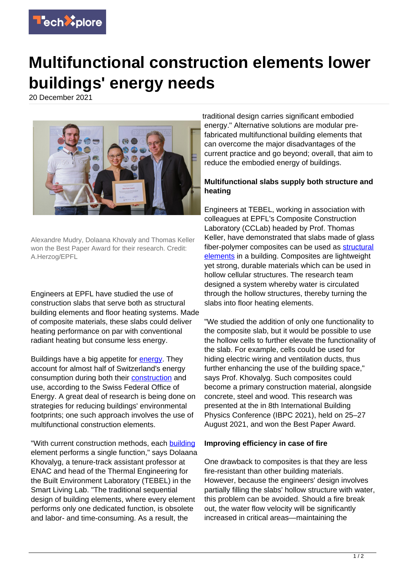

## **Multifunctional construction elements lower buildings' energy needs**

20 December 2021



Alexandre Mudry, Dolaana Khovaly and Thomas Keller won the Best Paper Award for their research. Credit: A.Herzog/EPFL

Engineers at EPFL have studied the use of construction slabs that serve both as structural building elements and floor heating systems. Made of composite materials, these slabs could deliver heating performance on par with conventional radiant heating but consume less energy.

Buildings have a big appetite for [energy.](https://techxplore.com/tags/energy/) They account for almost half of Switzerland's energy consumption during both their [construction](https://techxplore.com/tags/construction/) and use, according to the Swiss Federal Office of Energy. A great deal of research is being done on strategies for reducing buildings' environmental footprints; one such approach involves the use of multifunctional construction elements.

"With current construction methods, each [building](https://techxplore.com/tags/building/) element performs a single function," says Dolaana Khovalyg, a tenure-track assistant professor at ENAC and head of the Thermal Engineering for the Built Environment Laboratory (TEBEL) in the Smart Living Lab. "The traditional sequential design of building elements, where every element performs only one dedicated function, is obsolete and labor- and time-consuming. As a result, the

traditional design carries significant embodied energy." Alternative solutions are modular prefabricated multifunctional building elements that can overcome the major disadvantages of the current practice and go beyond; overall, that aim to reduce the embodied energy of buildings.

## **Multifunctional slabs supply both structure and heating**

Engineers at TEBEL, working in association with colleagues at EPFL's Composite Construction Laboratory (CCLab) headed by Prof. Thomas Keller, have demonstrated that slabs made of glass fiber-polymer composites can be used as [structural](https://techxplore.com/tags/structural+elements/) [elements](https://techxplore.com/tags/structural+elements/) in a building. Composites are lightweight yet strong, durable materials which can be used in hollow cellular structures. The research team designed a system whereby water is circulated through the hollow structures, thereby turning the slabs into floor heating elements.

"We studied the addition of only one functionality to the composite slab, but it would be possible to use the hollow cells to further elevate the functionality of the slab. For example, cells could be used for hiding electric wiring and ventilation ducts, thus further enhancing the use of the building space," says Prof. Khovalyg. Such composites could become a primary construction material, alongside concrete, steel and wood. This research was presented at the in 8th International Building Physics Conference (IBPC 2021), held on 25–27 August 2021, and won the Best Paper Award.

## **Improving efficiency in case of fire**

One drawback to composites is that they are less fire-resistant than other building materials. However, because the engineers' design involves partially filling the slabs' hollow structure with water, this problem can be avoided. Should a fire break out, the water flow velocity will be significantly increased in critical areas—maintaining the